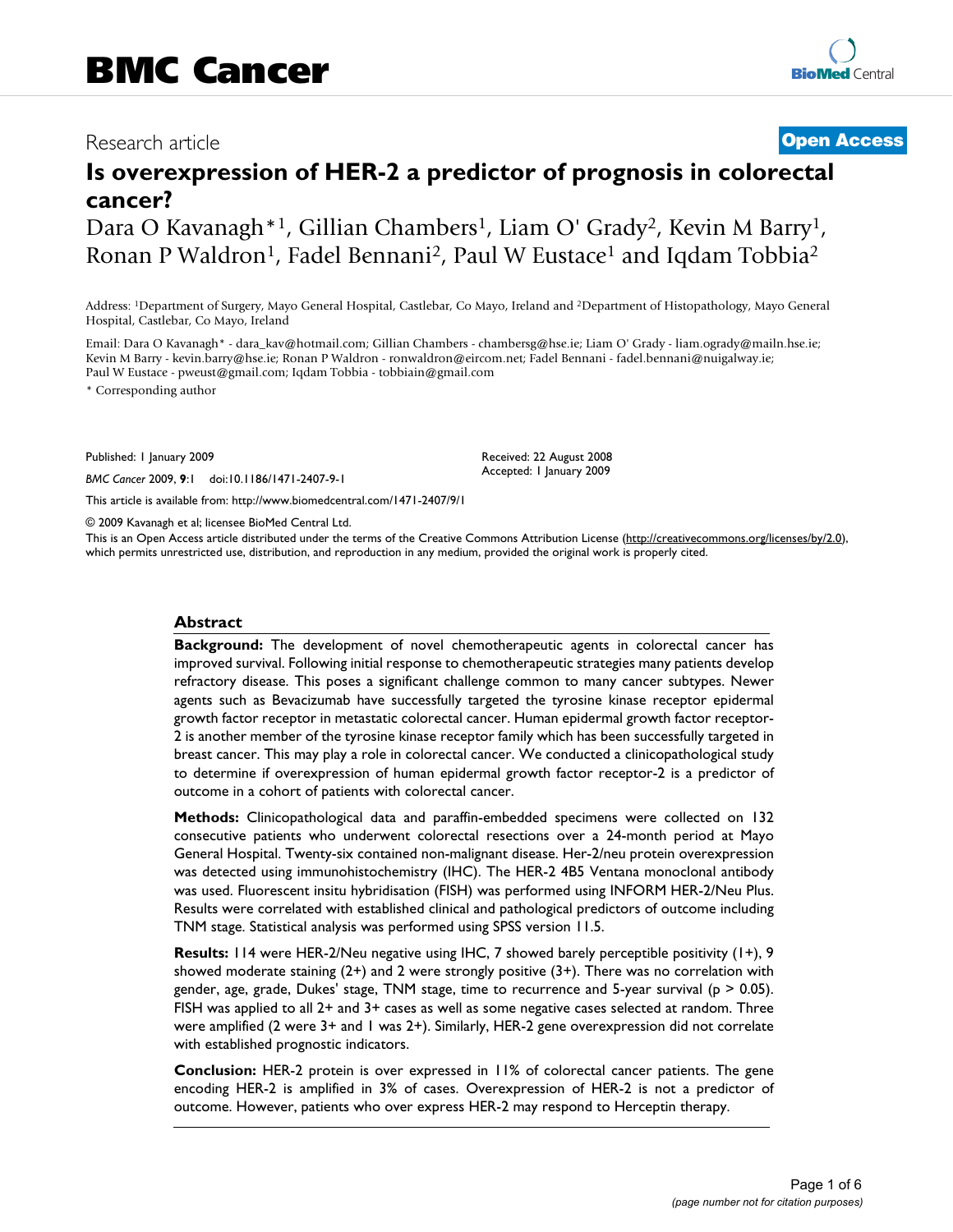Dara O Kavanagh\*<sup>1</sup>, Gillian Chambers<sup>1</sup>, Liam O' Grady<sup>2</sup>, Kevin M Barry<sup>1</sup>, Ronan P Waldron<sup>1</sup>, Fadel Bennani<sup>2</sup>, Paul W Eustace<sup>1</sup> and Iqdam Tobbia<sup>2</sup>

Address: 1Department of Surgery, Mayo General Hospital, Castlebar, Co Mayo, Ireland and 2Department of Histopathology, Mayo General Hospital, Castlebar, Co Mayo, Ireland

Email: Dara O Kavanagh\* - dara\_kav@hotmail.com; Gillian Chambers - chambersg@hse.ie; Liam O' Grady - liam.ogrady@mailn.hse.ie; Kevin M Barry - kevin.barry@hse.ie; Ronan P Waldron - ronwaldron@eircom.net; Fadel Bennani - fadel.bennani@nuigalway.ie; Paul W Eustace - pweust@gmail.com; Iqdam Tobbia - tobbiain@gmail.com

\* Corresponding author

Published: 1 January 2009

*BMC Cancer* 2009, **9**:1 doi:10.1186/1471-2407-9-1

[This article is available from: http://www.biomedcentral.com/1471-2407/9/1](http://www.biomedcentral.com/1471-2407/9/1)

© 2009 Kavanagh et al; licensee BioMed Central Ltd.

This is an Open Access article distributed under the terms of the Creative Commons Attribution License [\(http://creativecommons.org/licenses/by/2.0\)](http://creativecommons.org/licenses/by/2.0), which permits unrestricted use, distribution, and reproduction in any medium, provided the original work is properly cited.

Received: 22 August 2008 Accepted: 1 January 2009

## **Abstract**

**Background:** The development of novel chemotherapeutic agents in colorectal cancer has improved survival. Following initial response to chemotherapeutic strategies many patients develop refractory disease. This poses a significant challenge common to many cancer subtypes. Newer agents such as Bevacizumab have successfully targeted the tyrosine kinase receptor epidermal growth factor receptor in metastatic colorectal cancer. Human epidermal growth factor receptor-2 is another member of the tyrosine kinase receptor family which has been successfully targeted in breast cancer. This may play a role in colorectal cancer. We conducted a clinicopathological study to determine if overexpression of human epidermal growth factor receptor-2 is a predictor of outcome in a cohort of patients with colorectal cancer.

**Methods:** Clinicopathological data and paraffin-embedded specimens were collected on 132 consecutive patients who underwent colorectal resections over a 24-month period at Mayo General Hospital. Twenty-six contained non-malignant disease. Her-2/neu protein overexpression was detected using immunohistochemistry (IHC). The HER-2 4B5 Ventana monoclonal antibody was used. Fluorescent insitu hybridisation (FISH) was performed using INFORM HER-2/Neu Plus. Results were correlated with established clinical and pathological predictors of outcome including TNM stage. Statistical analysis was performed using SPSS version 11.5.

**Results:** 114 were HER-2/Neu negative using IHC, 7 showed barely perceptible positivity (1+), 9 showed moderate staining  $(2+)$  and 2 were strongly positive  $(3+)$ . There was no correlation with gender, age, grade, Dukes' stage, TNM stage, time to recurrence and 5-year survival ( $p > 0.05$ ). FISH was applied to all 2+ and 3+ cases as well as some negative cases selected at random. Three were amplified (2 were 3+ and 1 was 2+). Similarly, HER-2 gene overexpression did not correlate with established prognostic indicators.

**Conclusion:** HER-2 protein is over expressed in 11% of colorectal cancer patients. The gene encoding HER-2 is amplified in 3% of cases. Overexpression of HER-2 is not a predictor of outcome. However, patients who over express HER-2 may respond to Herceptin therapy.

Research article **[Open Access](http://www.biomedcentral.com/info/about/charter/)**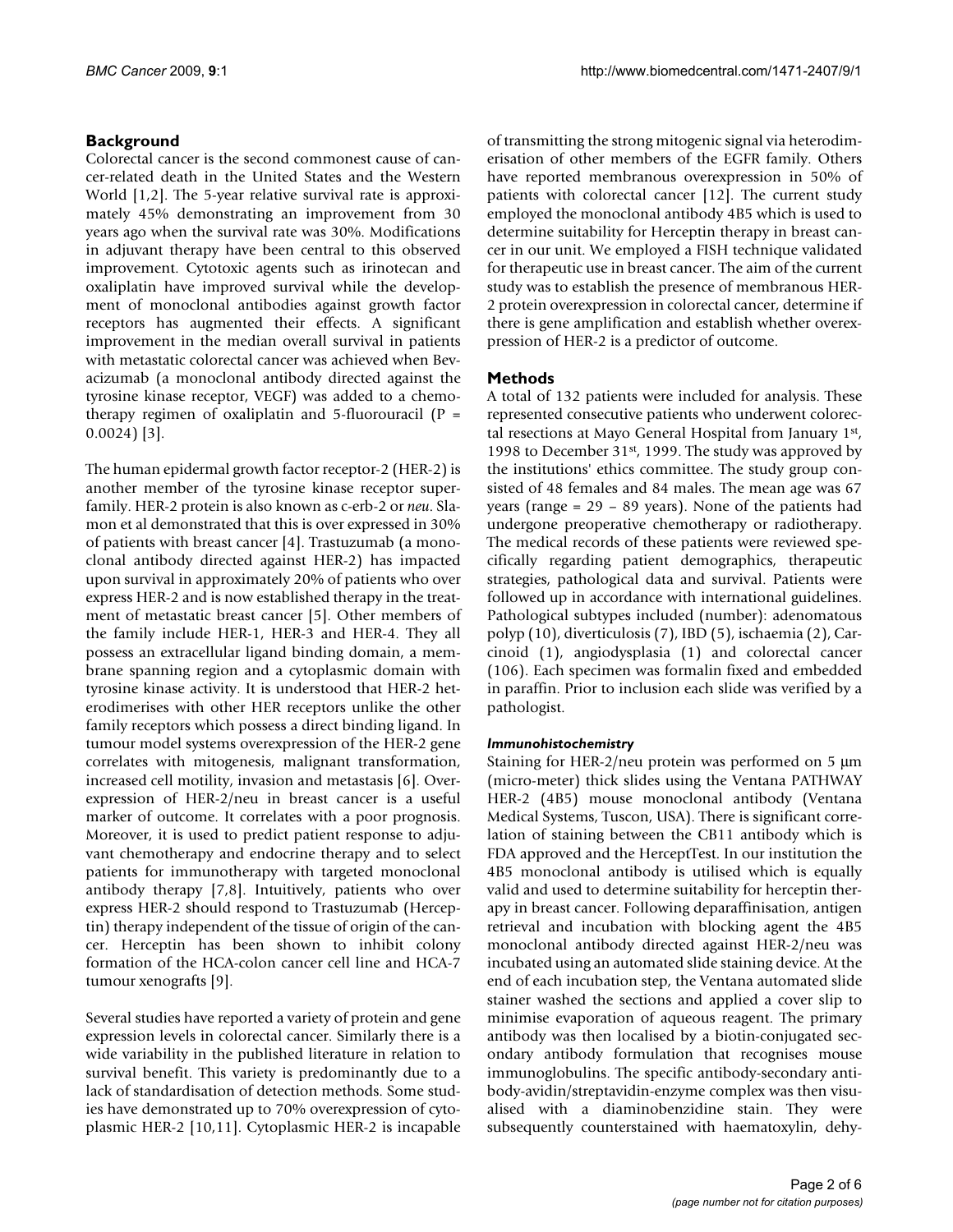# **Background**

Colorectal cancer is the second commonest cause of cancer-related death in the United States and the Western World [[1](#page-5-0),[2](#page-5-1)]. The 5-year relative survival rate is approximately 45% demonstrating an improvement from 30 years ago when the survival rate was 30%. Modifications in adjuvant therapy have been central to this observed improvement. Cytotoxic agents such as irinotecan and oxaliplatin have improved survival while the development of monoclonal antibodies against growth factor receptors has augmented their effects. A significant improvement in the median overall survival in patients with metastatic colorectal cancer was achieved when Bevacizumab (a monoclonal antibody directed against the tyrosine kinase receptor, VEGF) was added to a chemotherapy regimen of oxaliplatin and 5-fluorouracil ( $P =$ 0.0024) [[3](#page-5-2)].

The human epidermal growth factor receptor-2 (HER-2) is another member of the tyrosine kinase receptor superfamily. HER-2 protein is also known as c-erb-2 or *neu*. Slamon et al demonstrated that this is over expressed in 30% of patients with breast cancer [[4](#page-5-3)]. Trastuzumab (a monoclonal antibody directed against HER-2) has impacted upon survival in approximately 20% of patients who over express HER-2 and is now established therapy in the treatment of metastatic breast cancer [\[5\]](#page-5-4). Other members of the family include HER-1, HER-3 and HER-4. They all possess an extracellular ligand binding domain, a membrane spanning region and a cytoplasmic domain with tyrosine kinase activity. It is understood that HER-2 heterodimerises with other HER receptors unlike the other family receptors which possess a direct binding ligand. In tumour model systems overexpression of the HER-2 gene correlates with mitogenesis, malignant transformation, increased cell motility, invasion and metastasis [[6](#page-5-5)]. Overexpression of HER-2/neu in breast cancer is a useful marker of outcome. It correlates with a poor prognosis. Moreover, it is used to predict patient response to adjuvant chemotherapy and endocrine therapy and to select patients for immunotherapy with targeted monoclonal antibody therapy [\[7](#page-5-6),[8](#page-5-7)]. Intuitively, patients who over express HER-2 should respond to Trastuzumab (Herceptin) therapy independent of the tissue of origin of the cancer. Herceptin has been shown to inhibit colony formation of the HCA-colon cancer cell line and HCA-7 tumour xenografts [[9](#page-5-8)].

Several studies have reported a variety of protein and gene expression levels in colorectal cancer. Similarly there is a wide variability in the published literature in relation to survival benefit. This variety is predominantly due to a lack of standardisation of detection methods. Some studies have demonstrated up to 70% overexpression of cytoplasmic HER-2 [\[10](#page-5-9),[11](#page-5-10)]. Cytoplasmic HER-2 is incapable of transmitting the strong mitogenic signal via heterodimerisation of other members of the EGFR family. Others have reported membranous overexpression in 50% of patients with colorectal cancer [\[12\]](#page-5-11). The current study employed the monoclonal antibody 4B5 which is used to determine suitability for Herceptin therapy in breast cancer in our unit. We employed a FISH technique validated for therapeutic use in breast cancer. The aim of the current study was to establish the presence of membranous HER-2 protein overexpression in colorectal cancer, determine if there is gene amplification and establish whether overexpression of HER-2 is a predictor of outcome.

# **Methods**

A total of 132 patients were included for analysis. These represented consecutive patients who underwent colorectal resections at Mayo General Hospital from January 1st, 1998 to December 31<sup>st</sup>, 1999. The study was approved by the institutions' ethics committee. The study group consisted of 48 females and 84 males. The mean age was 67 years (range = 29 – 89 years). None of the patients had undergone preoperative chemotherapy or radiotherapy. The medical records of these patients were reviewed specifically regarding patient demographics, therapeutic strategies, pathological data and survival. Patients were followed up in accordance with international guidelines. Pathological subtypes included (number): adenomatous polyp (10), diverticulosis (7), IBD (5), ischaemia (2), Carcinoid (1), angiodysplasia (1) and colorectal cancer (106). Each specimen was formalin fixed and embedded in paraffin. Prior to inclusion each slide was verified by a pathologist.

# *Immunohistochemistry*

Staining for HER-2/neu protein was performed on 5 μm (micro-meter) thick slides using the Ventana PATHWAY HER-2 (4B5) mouse monoclonal antibody (Ventana Medical Systems, Tuscon, USA). There is significant correlation of staining between the CB11 antibody which is FDA approved and the HerceptTest. In our institution the 4B5 monoclonal antibody is utilised which is equally valid and used to determine suitability for herceptin therapy in breast cancer. Following deparaffinisation, antigen retrieval and incubation with blocking agent the 4B5 monoclonal antibody directed against HER-2/neu was incubated using an automated slide staining device. At the end of each incubation step, the Ventana automated slide stainer washed the sections and applied a cover slip to minimise evaporation of aqueous reagent. The primary antibody was then localised by a biotin-conjugated secondary antibody formulation that recognises mouse immunoglobulins. The specific antibody-secondary antibody-avidin/streptavidin-enzyme complex was then visualised with a diaminobenzidine stain. They were subsequently counterstained with haematoxylin, dehy-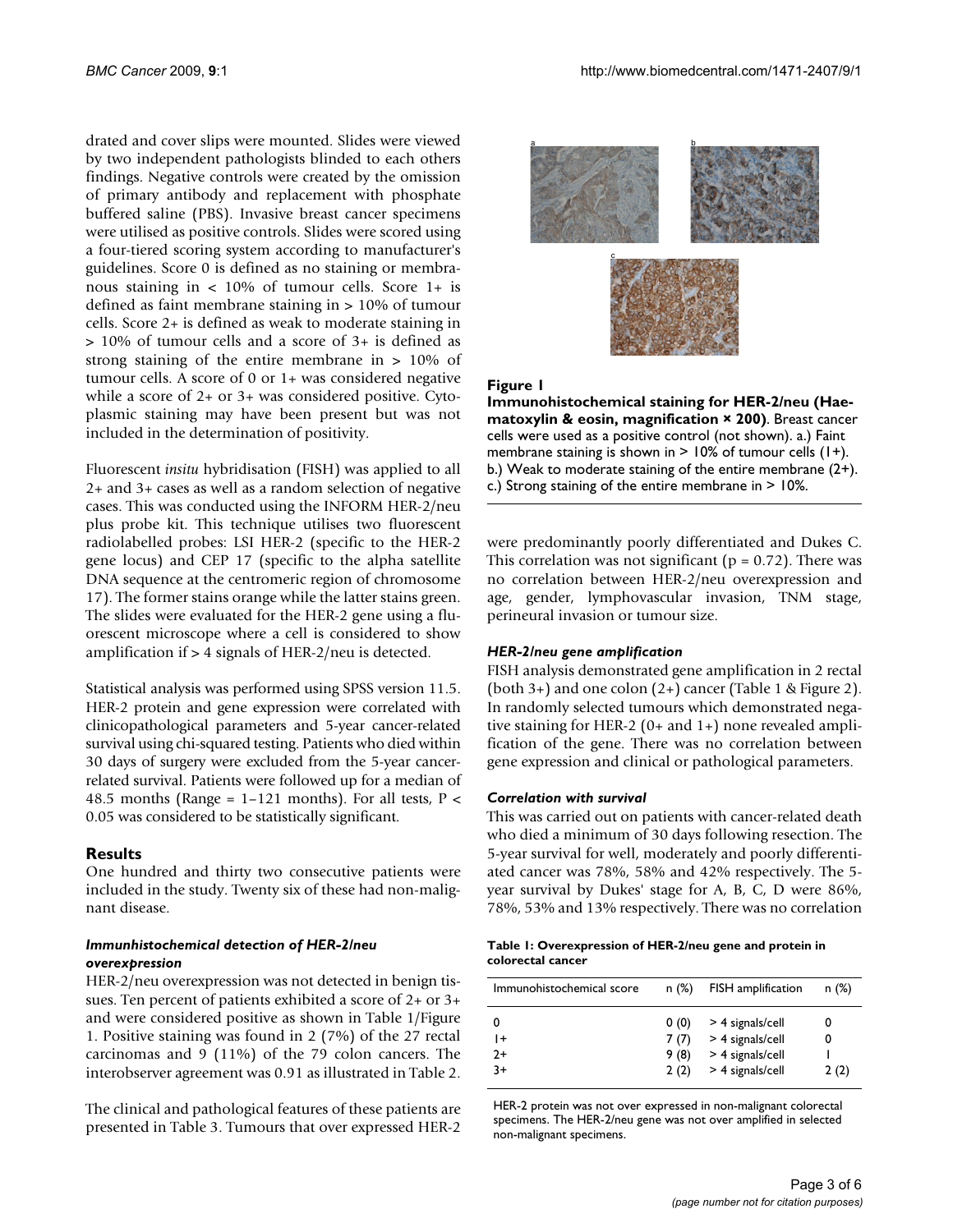drated and cover slips were mounted. Slides were viewed by two independent pathologists blinded to each others findings. Negative controls were created by the omission of primary antibody and replacement with phosphate buffered saline (PBS). Invasive breast cancer specimens were utilised as positive controls. Slides were scored using a four-tiered scoring system according to manufacturer's guidelines. Score 0 is defined as no staining or membranous staining in < 10% of tumour cells. Score 1+ is defined as faint membrane staining in > 10% of tumour cells. Score 2+ is defined as weak to moderate staining in > 10% of tumour cells and a score of 3+ is defined as strong staining of the entire membrane in > 10% of tumour cells. A score of 0 or 1+ was considered negative while a score of 2+ or 3+ was considered positive. Cytoplasmic staining may have been present but was not included in the determination of positivity.

Fluorescent *insitu* hybridisation (FISH) was applied to all 2+ and 3+ cases as well as a random selection of negative cases. This was conducted using the INFORM HER-2/neu plus probe kit. This technique utilises two fluorescent radiolabelled probes: LSI HER-2 (specific to the HER-2 gene locus) and CEP 17 (specific to the alpha satellite DNA sequence at the centromeric region of chromosome 17). The former stains orange while the latter stains green. The slides were evaluated for the HER-2 gene using a fluorescent microscope where a cell is considered to show amplification if  $> 4$  signals of HER-2/neu is detected.

Statistical analysis was performed using SPSS version 11.5. HER-2 protein and gene expression were correlated with clinicopathological parameters and 5-year cancer-related survival using chi-squared testing. Patients who died within 30 days of surgery were excluded from the 5-year cancerrelated survival. Patients were followed up for a median of 48.5 months (Range =  $1-121$  months). For all tests, P < 0.05 was considered to be statistically significant.

# **Results**

One hundred and thirty two consecutive patients were included in the study. Twenty six of these had non-malignant disease.

## *Immunhistochemical detection of HER-2/neu overexpression*

HER-2/neu overexpression was not detected in benign tissues. Ten percent of patients exhibited a score of 2+ or 3+ and were considered positive as shown in Table [1/](#page-2-0)Figure [1.](#page-2-1) Positive staining was found in 2 (7%) of the 27 rectal carcinomas and 9 (11%) of the 79 colon cancers. The interobserver agreement was 0.91 as illustrated in Table [2.](#page-3-0)

The clinical and pathological features of these patients are presented in Table [3](#page-4-0). Tumours that over expressed HER-2

<span id="page-2-1"></span>

## Figure 1

**Immunohistochemical staining for HER-2/neu (Haematoxylin & eosin, magnification × 200)**. Breast cancer cells were used as a positive control (not shown). a.) Faint membrane staining is shown in  $> 10\%$  of tumour cells (1+). b.) Weak to moderate staining of the entire membrane (2+). c.) Strong staining of the entire membrane in > 10%.

were predominantly poorly differentiated and Dukes C. This correlation was not significant ( $p = 0.72$ ). There was no correlation between HER-2/neu overexpression and age, gender, lymphovascular invasion, TNM stage, perineural invasion or tumour size.

## *HER-2/neu gene amplification*

FISH analysis demonstrated gene amplification in 2 rectal (both 3+) and one colon (2+) cancer (Table [1](#page-2-0) & Figure [2\)](#page-4-1). In randomly selected tumours which demonstrated negative staining for HER-2 (0+ and 1+) none revealed amplification of the gene. There was no correlation between gene expression and clinical or pathological parameters.

# *Correlation with survival*

This was carried out on patients with cancer-related death who died a minimum of 30 days following resection. The 5-year survival for well, moderately and poorly differentiated cancer was 78%, 58% and 42% respectively. The 5 year survival by Dukes' stage for A, B, C, D were 86%, 78%, 53% and 13% respectively. There was no correlation

<span id="page-2-0"></span>

| Table 1: Overexpression of HER-2/neu gene and protein in |  |
|----------------------------------------------------------|--|
| colorectal cancer                                        |  |

| Immunohistochemical score | n(%)                         | FISH amplification                                                               | n(%)           |
|---------------------------|------------------------------|----------------------------------------------------------------------------------|----------------|
| 0<br>l+<br>$2+$<br>$3+$   | 0(0)<br>7(7)<br>9(8)<br>2(2) | > 4 signals/cell<br>> 4 signals/cell<br>$>$ 4 signals/cell<br>$>$ 4 signals/cell | 0<br>0<br>2(2) |

HER-2 protein was not over expressed in non-malignant colorectal specimens. The HER-2/neu gene was not over amplified in selected non-malignant specimens.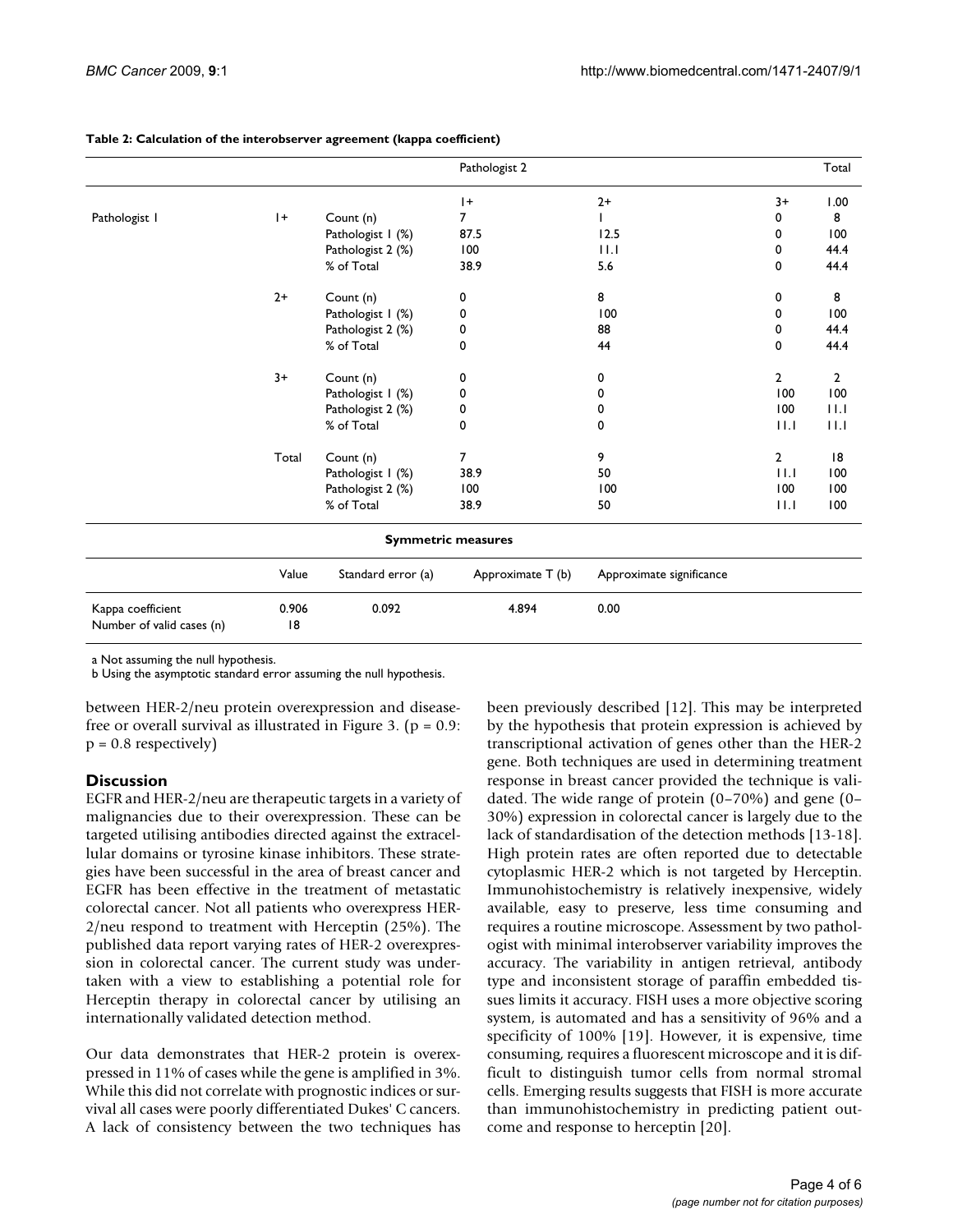|                                                |             |                    | Pathologist 2             |                          |                | Total          |
|------------------------------------------------|-------------|--------------------|---------------------------|--------------------------|----------------|----------------|
|                                                |             |                    | $ + $                     | $2+$                     | $3+$           | 1.00           |
| Pathologist I                                  | $ + $       | Count (n)          | 7                         |                          | 0              | 8              |
|                                                |             | Pathologist I (%)  | 87.5                      | 12.5                     | 0              | 100            |
|                                                |             | Pathologist 2 (%)  | 100                       | 11.1                     | 0              | 44.4           |
|                                                |             | % of Total         | 38.9                      | 5.6                      | 0              | 44.4           |
|                                                | $2+$        | Count (n)          | 0                         | 8                        | 0              | 8              |
|                                                |             | Pathologist I (%)  | 0                         | 100                      | 0              | 100            |
|                                                |             | Pathologist 2 (%)  | 0                         | 88                       | 0              | 44.4           |
|                                                |             | % of Total         | 0                         | 44                       | 0              | 44.4           |
|                                                | $3+$        | Count (n)          | 0                         | 0                        | $\overline{2}$ | $\overline{2}$ |
|                                                |             | Pathologist I (%)  | 0                         | 0                        | 100            | 100            |
|                                                |             | Pathologist 2 (%)  | 0                         | 0                        | 100            | 11.1           |
|                                                |             | % of Total         | 0                         | 0                        | 11.1           | 11.1           |
|                                                | Total       | Count (n)          | $\overline{7}$            | 9                        | $\mathbf{2}$   | 18             |
|                                                |             | Pathologist I (%)  | 38.9                      | 50                       | 11.1           | 100            |
|                                                |             | Pathologist 2 (%)  | 100                       | 100                      | 100            | 100            |
|                                                |             | % of Total         | 38.9                      | 50                       | 11.1           | 100            |
|                                                |             |                    | <b>Symmetric measures</b> |                          |                |                |
|                                                | Value       | Standard error (a) | Approximate T (b)         | Approximate significance |                |                |
| Kappa coefficient<br>Number of valid cases (n) | 0.906<br> 8 | 0.092              | 4.894                     | 0.00                     |                |                |

### <span id="page-3-0"></span>**Table 2: Calculation of the interobserver agreement (kappa coefficient)**

a Not assuming the null hypothesis.

b Using the asymptotic standard error assuming the null hypothesis.

between HER-2/neu protein overexpression and disease-free or overall survival as illustrated in Figure [3](#page-4-2). ( $p = 0.9$ :  $p = 0.8$  respectively)

# **Discussion**

EGFR and HER-2/neu are therapeutic targets in a variety of malignancies due to their overexpression. These can be targeted utilising antibodies directed against the extracellular domains or tyrosine kinase inhibitors. These strategies have been successful in the area of breast cancer and EGFR has been effective in the treatment of metastatic colorectal cancer. Not all patients who overexpress HER-2/neu respond to treatment with Herceptin (25%). The published data report varying rates of HER-2 overexpression in colorectal cancer. The current study was undertaken with a view to establishing a potential role for Herceptin therapy in colorectal cancer by utilising an internationally validated detection method.

Our data demonstrates that HER-2 protein is overexpressed in 11% of cases while the gene is amplified in 3%. While this did not correlate with prognostic indices or survival all cases were poorly differentiated Dukes' C cancers. A lack of consistency between the two techniques has

been previously described [\[12\]](#page-5-11). This may be interpreted by the hypothesis that protein expression is achieved by transcriptional activation of genes other than the HER-2 gene. Both techniques are used in determining treatment response in breast cancer provided the technique is validated. The wide range of protein (0–70%) and gene (0– 30%) expression in colorectal cancer is largely due to the lack of standardisation of the detection methods [\[13](#page-5-12)[-18](#page-5-13)]. High protein rates are often reported due to detectable cytoplasmic HER-2 which is not targeted by Herceptin. Immunohistochemistry is relatively inexpensive, widely available, easy to preserve, less time consuming and requires a routine microscope. Assessment by two pathologist with minimal interobserver variability improves the accuracy. The variability in antigen retrieval, antibody type and inconsistent storage of paraffin embedded tissues limits it accuracy. FISH uses a more objective scoring system, is automated and has a sensitivity of 96% and a specificity of 100% [\[19\]](#page-5-14). However, it is expensive, time consuming, requires a fluorescent microscope and it is difficult to distinguish tumor cells from normal stromal cells. Emerging results suggests that FISH is more accurate than immunohistochemistry in predicting patient outcome and response to herceptin [\[20](#page-5-15)].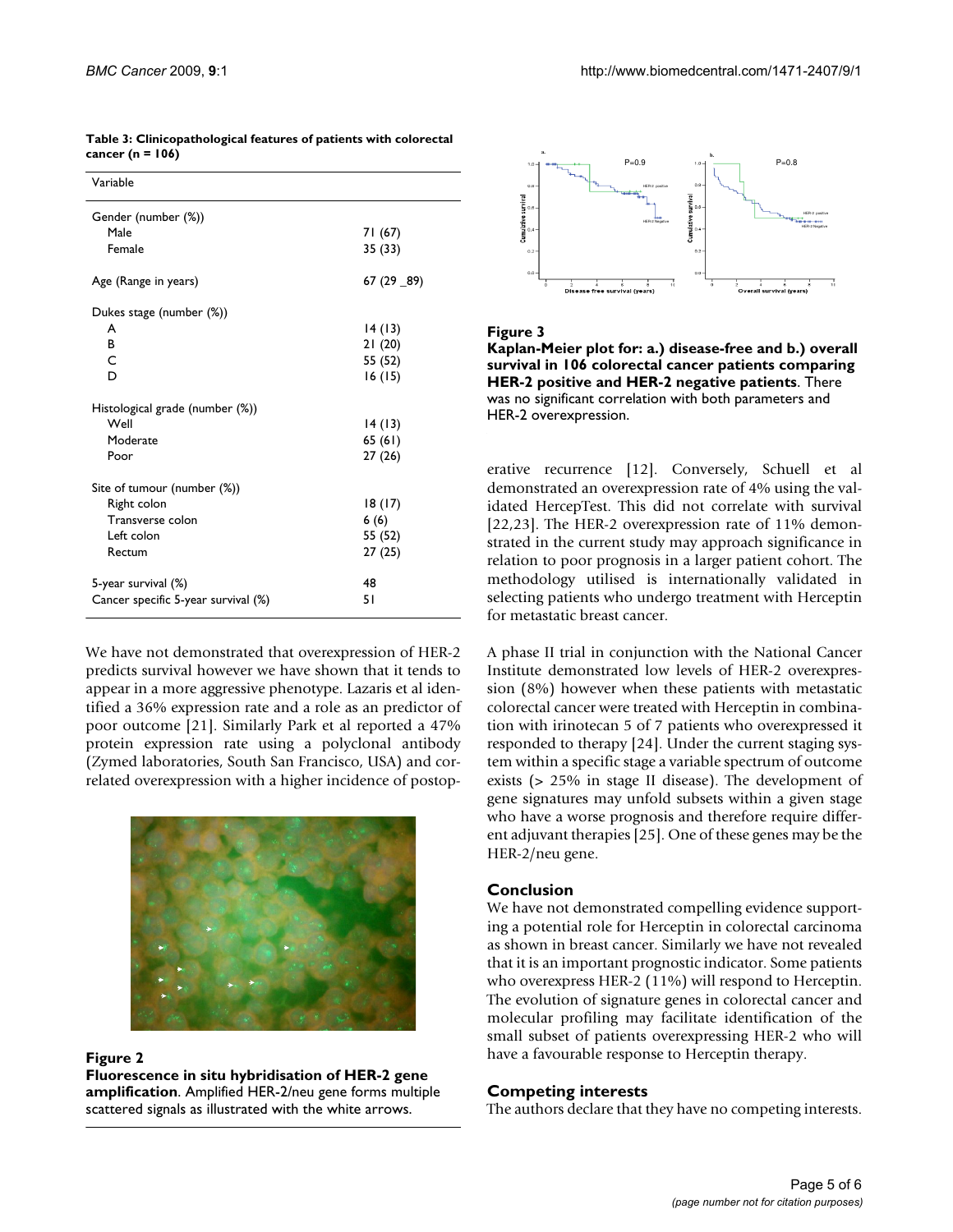| Variable                            |             |
|-------------------------------------|-------------|
| Gender (number (%))                 |             |
| Male                                | 71 (67)     |
| Female                              | 35 (33)     |
| Age (Range in years)                | 67 (29 _89) |
| Dukes stage (number (%))            |             |
| A                                   | 14(13)      |
| B                                   | 21(20)      |
| C                                   | 55 (52)     |
| D                                   | 16 (15)     |
| Histological grade (number (%))     |             |
| Well                                | 14(13)      |
| Moderate                            | 65(61)      |
| Poor                                | 27(26)      |
| Site of tumour (number (%))         |             |
| Right colon                         | 18 (17)     |
| Transverse colon                    | 6(6)        |
| Left colon                          | 55 (52)     |
| Rectum                              | 27(25)      |
| 5-year survival (%)                 | 48          |
| Cancer specific 5-year survival (%) | 51          |

<span id="page-4-0"></span>**Table 3: Clinicopathological features of patients with colorectal cancer (n = 106)**

We have not demonstrated that overexpression of HER-2 predicts survival however we have shown that it tends to appear in a more aggressive phenotype. Lazaris et al identified a 36% expression rate and a role as an predictor of poor outcome [\[21\]](#page-5-16). Similarly Park et al reported a 47% protein expression rate using a polyclonal antibody (Zymed laboratories, South San Francisco, USA) and correlated overexpression with a higher incidence of postop-

<span id="page-4-1"></span>

Figure 2

**Fluorescence in situ hybridisation of HER-2 gene amplification**. Amplified HER-2/neu gene forms multiple scattered signals as illustrated with the white arrows.

<span id="page-4-2"></span>

## Figure 3

**Kaplan-Meier plot for: a.) disease-free and b.) overall survival in 106 colorectal cancer patients comparing HER-2 positive and HER-2 negative patients**. There was no significant correlation with both parameters and HER-2 overexpression.

erative recurrence [[12\]](#page-5-11). Conversely, Schuell et al demonstrated an overexpression rate of 4% using the validated HercepTest. This did not correlate with survival [[22](#page-5-17),[23\]](#page-5-18). The HER-2 overexpression rate of 11% demonstrated in the current study may approach significance in relation to poor prognosis in a larger patient cohort. The methodology utilised is internationally validated in selecting patients who undergo treatment with Herceptin for metastatic breast cancer.

A phase II trial in conjunction with the National Cancer Institute demonstrated low levels of HER-2 overexpression (8%) however when these patients with metastatic colorectal cancer were treated with Herceptin in combination with irinotecan 5 of 7 patients who overexpressed it responded to therapy [\[24](#page-5-19)]. Under the current staging system within a specific stage a variable spectrum of outcome exists (> 25% in stage II disease). The development of gene signatures may unfold subsets within a given stage who have a worse prognosis and therefore require different adjuvant therapies [[25](#page-5-20)]. One of these genes may be the HER-2/neu gene.

# **Conclusion**

We have not demonstrated compelling evidence supporting a potential role for Herceptin in colorectal carcinoma as shown in breast cancer. Similarly we have not revealed that it is an important prognostic indicator. Some patients who overexpress HER-2 (11%) will respond to Herceptin. The evolution of signature genes in colorectal cancer and molecular profiling may facilitate identification of the small subset of patients overexpressing HER-2 who will have a favourable response to Herceptin therapy.

# **Competing interests**

The authors declare that they have no competing interests.